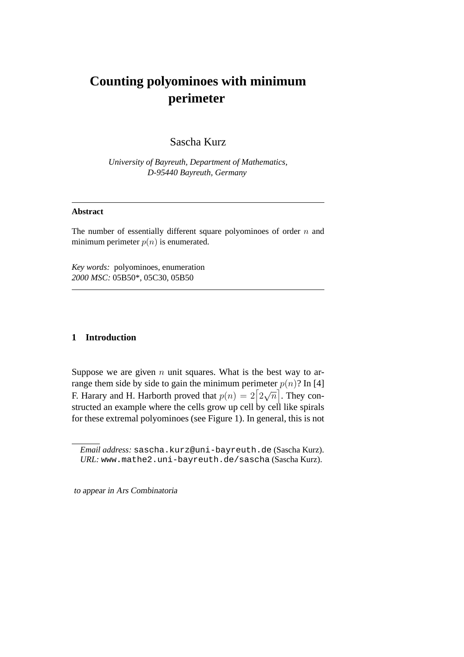# **Counting polyominoes with minimum perimeter**

Sascha Kurz

*University of Bayreuth, Department of Mathematics, D-95440 Bayreuth, Germany*

#### **Abstract**

The number of essentially different square polyominoes of order  $n$  and minimum perimeter  $p(n)$  is enumerated.

*Key words:* polyominoes, enumeration *2000 MSC:* 05B50\*, 05C30, 05B50

## **1 Introduction**

Suppose we are given  $n$  unit squares. What is the best way to arrange them side by side to gain the minimum perimeter  $p(n)$ ? In [4] F. Harary and H. Harborth proved that  $p(n) = 2 \left[ 2 \right]$ √  $\overline{n}|$ . They constructed an example where the cells grow up cell by cell like spirals for these extremal polyominoes (see Figure 1). In general, this is not

to appear in Ars Combinatoria

*Email address:* sascha.kurz@uni-bayreuth.de (Sascha Kurz). *URL:* www.mathe2.uni-bayreuth.de/sascha (Sascha Kurz).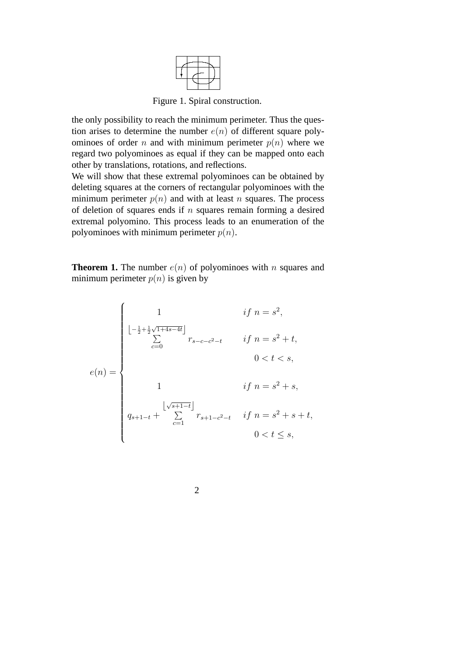

Figure 1. Spiral construction.

the only possibility to reach the minimum perimeter. Thus the question arises to determine the number  $e(n)$  of different square polyominoes of order n and with minimum perimeter  $p(n)$  where we regard two polyominoes as equal if they can be mapped onto each other by translations, rotations, and reflections.

We will show that these extremal polyominoes can be obtained by deleting squares at the corners of rectangular polyominoes with the minimum perimeter  $p(n)$  and with at least n squares. The process of deletion of squares ends if  $n$  squares remain forming a desired extremal polyomino. This process leads to an enumeration of the polyominoes with minimum perimeter  $p(n)$ .

**Theorem 1.** The number  $e(n)$  of polyominoes with n squares and minimum perimeter  $p(n)$  is given by

$$
e(n) = \begin{cases} 1 & \text{if } n = s^2, \\ \lfloor -\frac{1}{2} + \frac{1}{2}\sqrt{1+4s-4t} \rfloor & \\ \sum_{c=0}^{s} r_{s-c-c^2-t} & \text{if } n = s^2 + t, \\ 0 < t < s, \\ 1 & \text{if } n = s^2 + s, \\ q_{s+1-t} + \sum_{c=1}^{s+1-t} r_{s+1-c^2-t} & \text{if } n = s^2 + s + t, \\ 0 < t \le s, \end{cases}
$$

2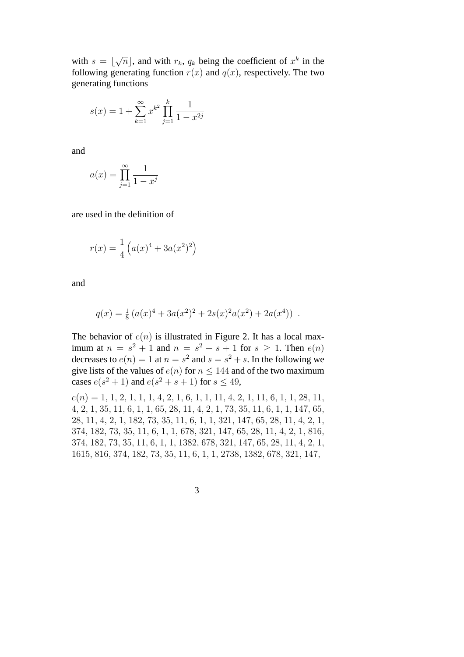with  $s = \lfloor$ √  $\overline{n}$ , and with  $r_k$ ,  $q_k$  being the coefficient of  $x^k$  in the following generating function  $r(x)$  and  $q(x)$ , respectively. The two generating functions

$$
s(x) = 1 + \sum_{k=1}^{\infty} x^{k^2} \prod_{j=1}^{k} \frac{1}{1 - x^{2j}}
$$

and

$$
a(x) = \prod_{j=1}^{\infty} \frac{1}{1 - x^j}
$$

are used in the definition of

$$
r(x) = \frac{1}{4} \left( a(x)^4 + 3a(x^2)^2 \right)
$$

and

$$
q(x) = \frac{1}{8} (a(x)^4 + 3a(x^2)^2 + 2s(x)^2 a(x^2) + 2a(x^4))
$$
.

The behavior of  $e(n)$  is illustrated in Figure 2. It has a local maximum at  $n = s^2 + 1$  and  $n = s^2 + s + 1$  for  $s \ge 1$ . Then  $e(n)$ decreases to  $e(n) = 1$  at  $n = s^2$  and  $s = s^2 + s$ . In the following we give lists of the values of  $e(n)$  for  $n \leq 144$  and of the two maximum cases  $e(s^2 + 1)$  and  $e(s^2 + s + 1)$  for  $s \le 49$ ,

 $e(n) = 1, 1, 2, 1, 1, 1, 4, 2, 1, 6, 1, 1, 1, 4, 2, 1, 11, 6, 1, 1, 28, 11,$ , 2, 1, 35, 11, 6, 1, 1, 65, 28, 11, 4, 2, 1, 73, 35, 11, 6, 1, 1, 147, 65, , 11, 4, 2, 1, 182, 73, 35, 11, 6, 1, 1, 321, 147, 65, 28, 11, 4, 2, 1, , 182, 73, 35, 11, 6, 1, 1, 678, 321, 147, 65, 28, 11, 4, 2, 1, 816, , 182, 73, 35, 11, 6, 1, 1, 1382, 678, 321, 147, 65, 28, 11, 4, 2, 1, , 816, 374, 182, 73, 35, 11, 6, 1, 1, 2738, 1382, 678, 321, 147,

3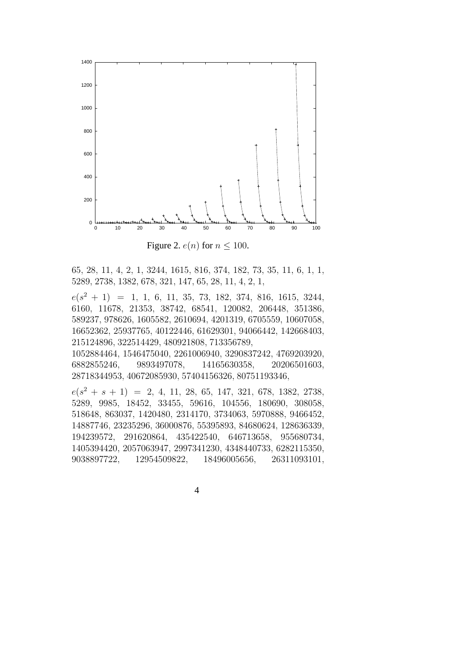

Figure 2.  $e(n)$  for  $n \leq 100$ .

, 28, 11, 4, 2, 1, 3244, 1615, 816, 374, 182, 73, 35, 11, 6, 1, 1, , 2738, 1382, 678, 321, 147, 65, 28, 11, 4, 2, 1,

 $e(s^2 + 1) = 1, 1, 6, 11, 35, 73, 182, 374, 816, 1615, 3244,$ , 11678, 21353, 38742, 68541, 120082, 206448, 351386, , 978626, 1605582, 2610694, 4201319, 6705559, 10607058, , 25937765, 40122446, 61629301, 94066442, 142668403, , 322514429, 480921808, 713356789,

, 1546475040, 2261006940, 3290837242, 4769203920, , 9893497078, 14165630358, 20206501603, , 40672085930, 57404156326, 80751193346,

 $e(s^2 + s + 1) = 2, 4, 11, 28, 65, 147, 321, 678, 1382, 2738,$ , 9985, 18452, 33455, 59616, 104556, 180690, 308058, , 863037, 1420480, 2314170, 3734063, 5970888, 9466452, , 23235296, 36000876, 55395893, 84680624, 128636339, , 291620864, 435422540, 646713658, 955680734, , 2057063947, 2997341230, 4348440733, 6282115350, , 12954509822, 18496005656, 26311093101,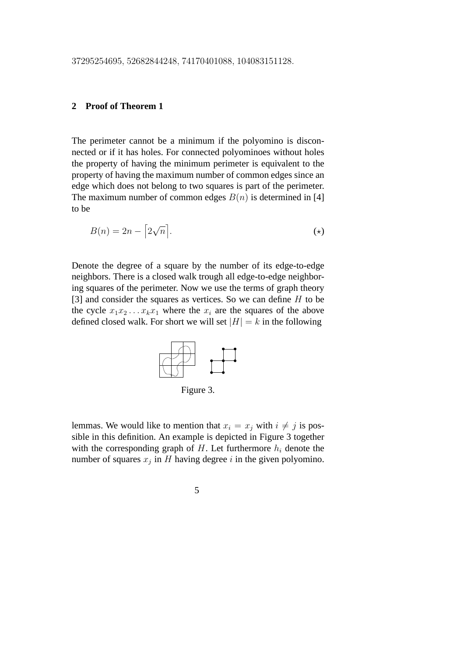### **2 Proof of Theorem 1**

The perimeter cannot be a minimum if the polyomino is disconnected or if it has holes. For connected polyominoes without holes the property of having the minimum perimeter is equivalent to the property of having the maximum number of common edges since an edge which does not belong to two squares is part of the perimeter. The maximum number of common edges  $B(n)$  is determined in [4] to be

$$
B(n) = 2n - \left[2\sqrt{n}\right].\tag{\star}
$$

Denote the degree of a square by the number of its edge-to-edge neighbors. There is a closed walk trough all edge-to-edge neighboring squares of the perimeter. Now we use the terms of graph theory [3] and consider the squares as vertices. So we can define  $H$  to be the cycle  $x_1x_2...x_kx_1$  where the  $x_i$  are the squares of the above defined closed walk. For short we will set  $|H| = k$  in the following



Figure 3.

lemmas. We would like to mention that  $x_i = x_j$  with  $i \neq j$  is possible in this definition. An example is depicted in Figure 3 together with the corresponding graph of  $H$ . Let furthermore  $h_i$  denote the number of squares  $x_j$  in H having degree i in the given polyomino.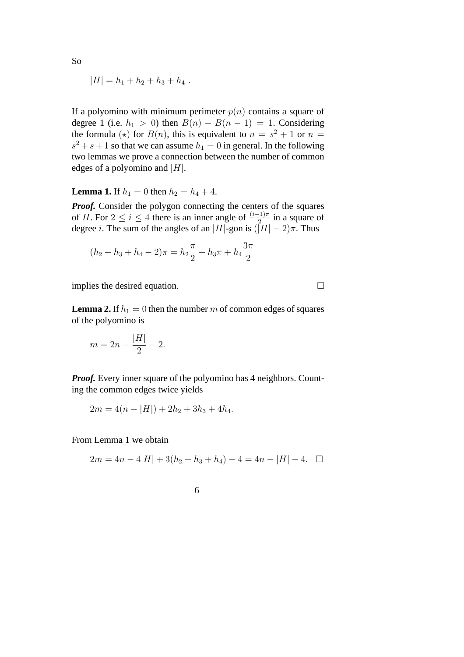$$
|H| = h_1 + h_2 + h_3 + h_4.
$$

If a polyomino with minimum perimeter  $p(n)$  contains a square of degree 1 (i.e.  $h_1 > 0$ ) then  $B(n) - B(n - 1) = 1$ . Considering the formula ( $\star$ ) for  $B(n)$ , this is equivalent to  $n = s^2 + 1$  or  $n =$  $s^2 + s + 1$  so that we can assume  $h_1 = 0$  in general. In the following two lemmas we prove a connection between the number of common edges of a polyomino and  $|H|$ .

**Lemma 1.** If  $h_1 = 0$  then  $h_2 = h_4 + 4$ .

*Proof.* Consider the polygon connecting the centers of the squares of H. For  $2 \le i \le 4$  there is an inner angle of  $\frac{(i-1)\pi}{2}$  in a square of degree *i*. The sum of the angles of an |H|-gon is  $(|H| - 2)\pi$ . Thus

$$
(h_2 + h_3 + h_4 - 2)\pi = h_2 \frac{\pi}{2} + h_3 \pi + h_4 \frac{3\pi}{2}
$$

implies the desired equation.  $\Box$ 

**Lemma 2.** If  $h_1 = 0$  then the number m of common edges of squares of the polyomino is

$$
m = 2n - \frac{|H|}{2} - 2.
$$

*Proof.* Every inner square of the polyomino has 4 neighbors. Counting the common edges twice yields

$$
2m = 4(n - |H|) + 2h_2 + 3h_3 + 4h_4.
$$

From Lemma 1 we obtain

$$
2m = 4n - 4|H| + 3(h_2 + h_3 + h_4) - 4 = 4n - |H| - 4. \quad \Box
$$

$$
\overline{6}
$$

So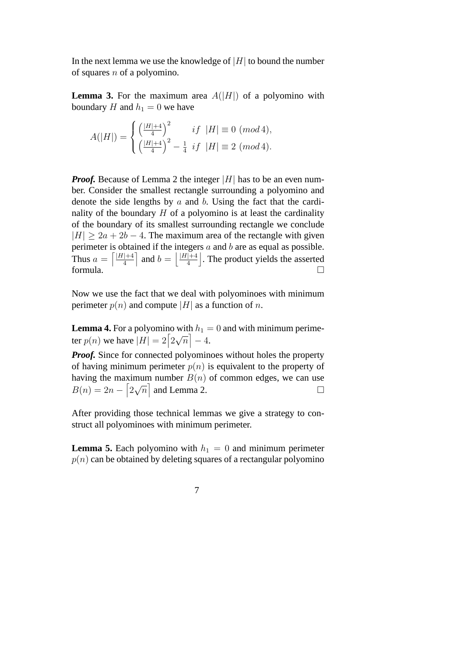In the next lemma we use the knowledge of  $|H|$  to bound the number of squares  $n$  of a polyomino.

**Lemma 3.** For the maximum area  $A(|H|)$  of a polyomino with boundary H and  $h_1 = 0$  we have

$$
A(|H|)=\begin{cases} \left(\frac{|H|+4}{4}\right)^2 & if \ |H|\equiv 0 \ (mod\, 4), \\ \left(\frac{|H|+4}{4}\right)^2-\frac{1}{4} \ if \ |H|\equiv 2 \ (mod\, 4). \end{cases}
$$

*Proof.* Because of Lemma 2 the integer |H| has to be an even number. Consider the smallest rectangle surrounding a polyomino and denote the side lengths by  $a$  and  $b$ . Using the fact that the cardinality of the boundary  $H$  of a polyomino is at least the cardinality of the boundary of its smallest surrounding rectangle we conclude  $|H| > 2a + 2b - 4$ . The maximum area of the rectangle with given perimeter is obtained if the integers  $a$  and  $b$  are as equal as possible. Thus  $a =$ ls odta<br>[*|H|*+4 4 µ<br>ד and  $b =$  $|H|+4$ 4 k . The product yields the asserted formula.  $\Box$ 

Now we use the fact that we deal with polyominoes with minimum perimeter  $p(n)$  and compute |H| as a function of n.

**Lemma 4.** For a polyomino with  $h_1 = 0$  and with minimum perime-**Lemma 4.** For a polyommotor  $|H| = 2 \left[ 2 \right]$  $\frac{W}{\lambda}$  $|\overline{n}|-4.$ 

*Proof.* Since for connected polyominoes without holes the property of having minimum perimeter  $p(n)$  is equivalent to the property of having the maximum number  $B(n)$  of common edges, we can use  $B(n) = 2n - 2$ √  $\overline{n}|$  and Lemma 2.

After providing those technical lemmas we give a strategy to construct all polyominoes with minimum perimeter.

**Lemma 5.** Each polyomino with  $h_1 = 0$  and minimum perimeter  $p(n)$  can be obtained by deleting squares of a rectangular polyomino

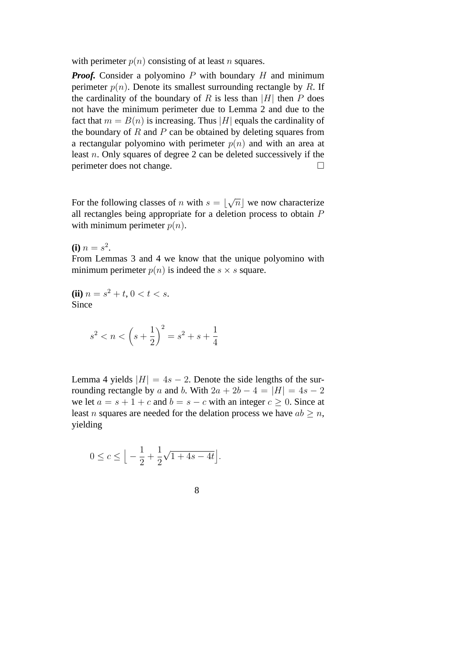with perimeter  $p(n)$  consisting of at least n squares.

*Proof.* Consider a polyomino  $P$  with boundary  $H$  and minimum perimeter  $p(n)$ . Denote its smallest surrounding rectangle by R. If the cardinality of the boundary of R is less than |H| then P does not have the minimum perimeter due to Lemma 2 and due to the fact that  $m = B(n)$  is increasing. Thus |H| equals the cardinality of the boundary of  $R$  and  $P$  can be obtained by deleting squares from a rectangular polyomino with perimeter  $p(n)$  and with an area at least n. Only squares of degree 2 can be deleted successively if the perimeter does not change.

For the following classes of *n* with  $s = \lfloor$ √  $\overline{n}$  we now characterize all rectangles being appropriate for a deletion process to obtain P with minimum perimeter  $p(n)$ .

**(i)**  $n = s^2$ .

From Lemmas 3 and 4 we know that the unique polyomino with minimum perimeter  $p(n)$  is indeed the  $s \times s$  square.

**(ii)**  $n = s^2 + t$ ,  $0 < t < s$ . **Since** 

$$
s^2 < n < \left(s + \frac{1}{2}\right)^2 = s^2 + s + \frac{1}{4}
$$

Lemma 4 yields  $|H| = 4s - 2$ . Denote the side lengths of the surrounding rectangle by a and b. With  $2a + 2b - 4 = |H| = 4s - 2$ we let  $a = s + 1 + c$  and  $b = s - c$  with an integer  $c \ge 0$ . Since at least *n* squares are needed for the delation process we have  $ab \ge n$ , yielding

$$
0\leq c\leq\Big\lfloor -\frac{1}{2}+\frac{1}{2}\sqrt{1+4s-4t}\Big\rfloor.
$$

8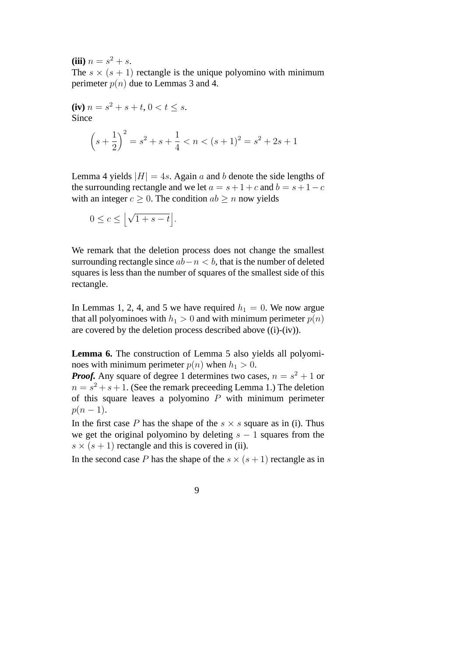**(iii)**  $n = s^2 + s$ .

The  $s \times (s + 1)$  rectangle is the unique polyomino with minimum perimeter  $p(n)$  due to Lemmas 3 and 4.

(iv) 
$$
n = s^2 + s + t
$$
,  $0 < t \le s$ .  
\nSince  
\n
$$
\left(s + \frac{1}{2}\right)^2 = s^2 + s + \frac{1}{4} < n < (s + 1)^2 = s^2 + 2s + 1
$$

Lemma 4 yields  $|H| = 4s$ . Again a and b denote the side lengths of the surrounding rectangle and we let  $a = s + 1 + c$  and  $b = s + 1 - c$ with an integer  $c > 0$ . The condition  $ab > n$  now yields

$$
0 \le c \le \left\lfloor \sqrt{1+s-t} \right\rfloor.
$$

We remark that the deletion process does not change the smallest surrounding rectangle since  $ab-n < b$ , that is the number of deleted squares is less than the number of squares of the smallest side of this rectangle.

In Lemmas 1, 2, 4, and 5 we have required  $h_1 = 0$ . We now argue that all polyominoes with  $h_1 > 0$  and with minimum perimeter  $p(n)$ are covered by the deletion process described above ((i)-(iv)).

**Lemma 6.** The construction of Lemma 5 also yields all polyominoes with minimum perimeter  $p(n)$  when  $h_1 > 0$ .

*Proof.* Any square of degree 1 determines two cases,  $n = s^2 + 1$  or  $n = s^2 + s + 1$ . (See the remark preceeding Lemma 1.) The deletion of this square leaves a polyomino  $P$  with minimum perimeter  $p(n-1)$ .

In the first case P has the shape of the  $s \times s$  square as in (i). Thus we get the original polyomino by deleting  $s - 1$  squares from the  $s \times (s + 1)$  rectangle and this is covered in (ii).

In the second case P has the shape of the  $s \times (s + 1)$  rectangle as in

9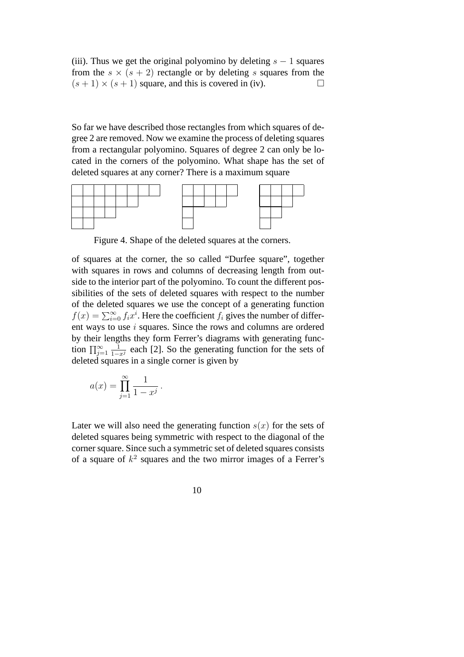(iii). Thus we get the original polyomino by deleting  $s - 1$  squares from the  $s \times (s + 2)$  rectangle or by deleting s squares from the  $(s + 1) \times (s + 1)$  square, and this is covered in (iv).

So far we have described those rectangles from which squares of degree 2 are removed. Now we examine the process of deleting squares from a rectangular polyomino. Squares of degree 2 can only be located in the corners of the polyomino. What shape has the set of deleted squares at any corner? There is a maximum square



Figure 4. Shape of the deleted squares at the corners.

of squares at the corner, the so called "Durfee square", together with squares in rows and columns of decreasing length from outside to the interior part of the polyomino. To count the different possibilities of the sets of deleted squares with respect to the number of the deleted squares we use the concept of a generating function  $f(x) = \sum_{i=0}^{\infty} f_i x^i$ . Here the coefficient  $f_i$  gives the number of different ways to use i squares. Since the rows and columns are ordered by their lengths they form Ferrer's diagrams with generating function  $\prod_{j=1}^{\infty} \frac{1}{1-x^j}$  each [2]. So the generating function for the sets of deleted squares in a single corner is given by

$$
a(x) = \prod_{j=1}^{\infty} \frac{1}{1 - x^j}.
$$

Later we will also need the generating function  $s(x)$  for the sets of deleted squares being symmetric with respect to the diagonal of the corner square. Since such a symmetric set of deleted squares consists of a square of  $k^2$  squares and the two mirror images of a Ferrer's

10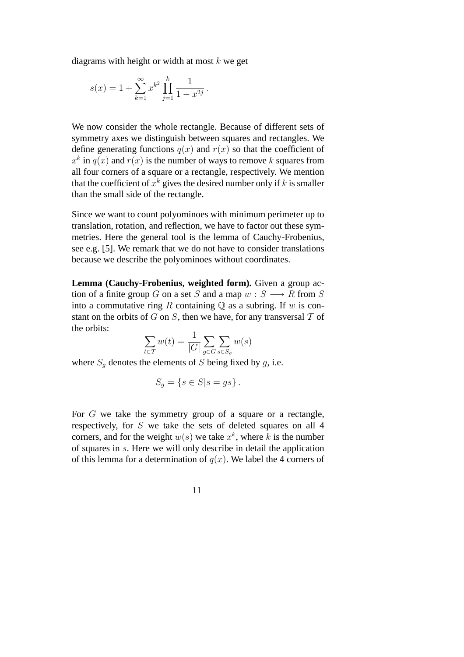diagrams with height or width at most  $k$  we get

$$
s(x) = 1 + \sum_{k=1}^{\infty} x^{k^2} \prod_{j=1}^{k} \frac{1}{1 - x^{2j}}.
$$

We now consider the whole rectangle. Because of different sets of symmetry axes we distinguish between squares and rectangles. We define generating functions  $q(x)$  and  $r(x)$  so that the coefficient of  $x<sup>k</sup>$  in  $q(x)$  and  $r(x)$  is the number of ways to remove k squares from all four corners of a square or a rectangle, respectively. We mention that the coefficient of  $x^k$  gives the desired number only if k is smaller than the small side of the rectangle.

Since we want to count polyominoes with minimum perimeter up to translation, rotation, and reflection, we have to factor out these symmetries. Here the general tool is the lemma of Cauchy-Frobenius, see e.g. [5]. We remark that we do not have to consider translations because we describe the polyominoes without coordinates.

**Lemma (Cauchy-Frobenius, weighted form).** Given a group action of a finite group G on a set S and a map  $w : S \longrightarrow R$  from S into a commutative ring R containing  $\mathbb Q$  as a subring. If w is constant on the orbits of G on S, then we have, for any transversal  $T$  of the orbits:

$$
\sum_{t \in T} w(t) = \frac{1}{|G|} \sum_{g \in G} \sum_{s \in S_g} w(s)
$$

where  $S_q$  denotes the elements of S being fixed by g, i.e.

$$
S_g = \{ s \in S | s = gs \}.
$$

For G we take the symmetry group of a square or a rectangle, respectively, for S we take the sets of deleted squares on all 4 corners, and for the weight  $w(s)$  we take  $x^k$ , where k is the number of squares in s. Here we will only describe in detail the application of this lemma for a determination of  $q(x)$ . We label the 4 corners of

11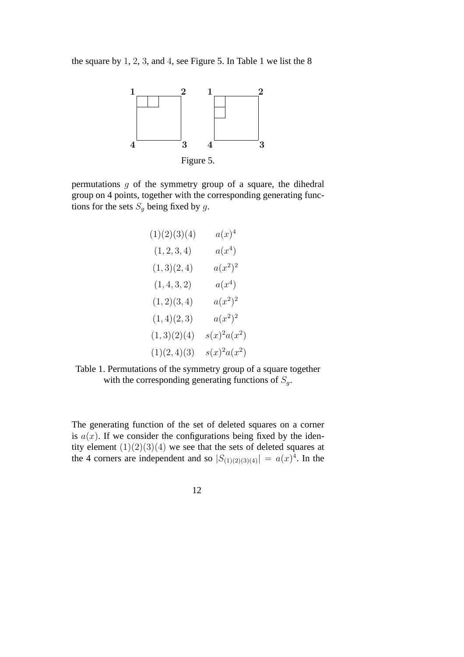the square by 1, 2, 3, and 4, see Figure 5. In Table 1 we list the 8



permutations  $g$  of the symmetry group of a square, the dihedral group on 4 points, together with the corresponding generating functions for the sets  $S_g$  being fixed by g.

| (1)(2)(3)(4) | $a(x)^4$        |
|--------------|-----------------|
| (1, 2, 3, 4) | $a(x^4)$        |
| (1,3)(2,4)   | $a(x^2)^2$      |
| (1, 4, 3, 2) | $a(x^4)$        |
| (1,2)(3,4)   | $a(x^2)^2$      |
| (1,4)(2,3)   | $a(x^2)^2$      |
| (1,3)(2)(4)  | $s(x)^2 a(x^2)$ |
| (1)(2,4)(3)  | $s(x)^2 a(x^2)$ |

Table 1. Permutations of the symmetry group of a square together with the corresponding generating functions of  $S_g$ .

The generating function of the set of deleted squares on a corner is  $a(x)$ . If we consider the configurations being fixed by the identity element  $(1)(2)(3)(4)$  we see that the sets of deleted squares at the 4 corners are independent and so  $|S_{(1)(2)(3)(4)}| = a(x)^4$ . In the

12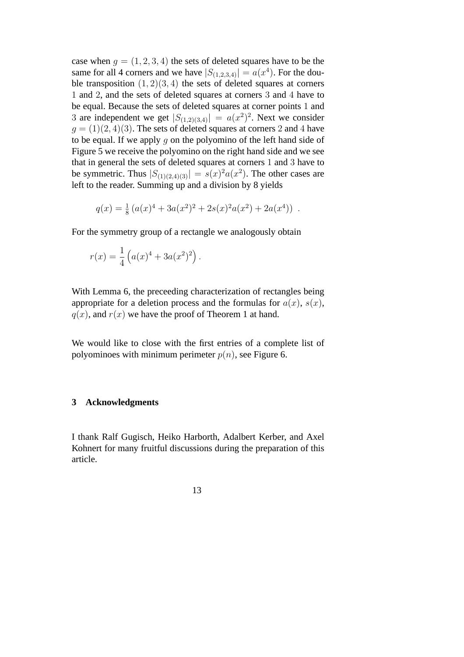case when  $g = (1, 2, 3, 4)$  the sets of deleted squares have to be the same for all 4 corners and we have  $|S_{(1,2,3,4)}| = a(x^4)$ . For the double transposition  $(1, 2)(3, 4)$  the sets of deleted squares at corners 1 and 2, and the sets of deleted squares at corners 3 and 4 have to be equal. Because the sets of deleted squares at corner points 1 and 3 are independent we get  $|S_{(1,2)(3,4)}| = a(x^2)^2$ . Next we consider  $g = (1)(2, 4)(3)$ . The sets of deleted squares at corners 2 and 4 have to be equal. If we apply  $q$  on the polyomino of the left hand side of Figure 5 we receive the polyomino on the right hand side and we see that in general the sets of deleted squares at corners 1 and 3 have to be symmetric. Thus  $|S_{(1)(2,4)(3)}| = s(x)^2 a(x^2)$ . The other cases are left to the reader. Summing up and a division by 8 yields

$$
q(x) = \frac{1}{8} (a(x)^4 + 3a(x^2)^2 + 2s(x)^2 a(x^2) + 2a(x^4))
$$
.

For the symmetry group of a rectangle we analogously obtain

$$
r(x) = \frac{1}{4} \left( a(x)^4 + 3a(x^2)^2 \right).
$$

With Lemma 6, the preceeding characterization of rectangles being appropriate for a deletion process and the formulas for  $a(x)$ ,  $s(x)$ ,  $q(x)$ , and  $r(x)$  we have the proof of Theorem 1 at hand.

We would like to close with the first entries of a complete list of polyominoes with minimum perimeter  $p(n)$ , see Figure 6.

#### **3 Acknowledgments**

I thank Ralf Gugisch, Heiko Harborth, Adalbert Kerber, and Axel Kohnert for many fruitful discussions during the preparation of this article.

13